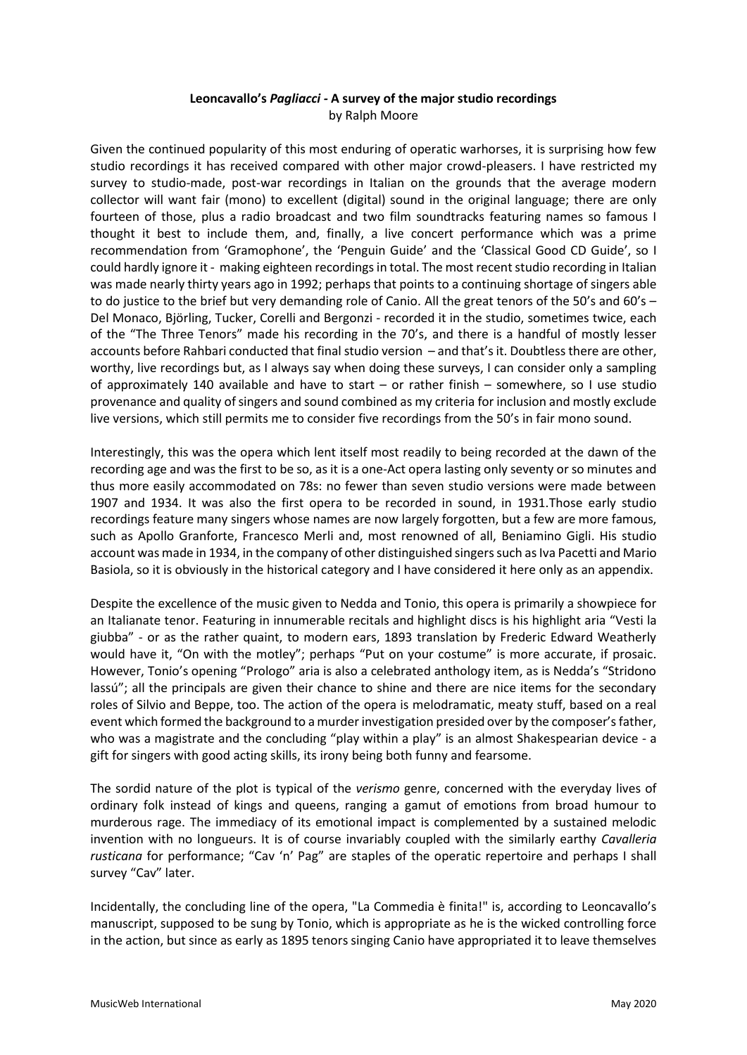# **Leoncavallo's** *Pagliacci -* **A survey of the major studio recordings** by Ralph Moore

Given the continued popularity of this most enduring of operatic warhorses, it is surprising how few studio recordings it has received compared with other major crowd-pleasers. I have restricted my survey to studio-made, post-war recordings in Italian on the grounds that the average modern collector will want fair (mono) to excellent (digital) sound in the original language; there are only fourteen of those, plus a radio broadcast and two film soundtracks featuring names so famous I thought it best to include them, and, finally, a live concert performance which was a prime recommendation from 'Gramophone', the 'Penguin Guide' and the 'Classical Good CD Guide', so I could hardly ignore it - making eighteen recordings in total. The most recent studio recording in Italian was made nearly thirty years ago in 1992; perhaps that points to a continuing shortage of singers able to do justice to the brief but very demanding role of Canio. All the great tenors of the 50's and 60's – Del Monaco, Björling, Tucker, Corelli and Bergonzi - recorded it in the studio, sometimes twice, each of the "The Three Tenors" made his recording in the 70's, and there is a handful of mostly lesser accounts before Rahbari conducted that final studio version – and that's it. Doubtless there are other, worthy, live recordings but, as I always say when doing these surveys, I can consider only a sampling of approximately 140 available and have to start – or rather finish – somewhere, so I use studio provenance and quality of singers and sound combined as my criteria for inclusion and mostly exclude live versions, which still permits me to consider five recordings from the 50's in fair mono sound.

Interestingly, this was the opera which lent itself most readily to being recorded at the dawn of the recording age and was the first to be so, as it is a one-Act opera lasting only seventy or so minutes and thus more easily accommodated on 78s: no fewer than seven studio versions were made between 1907 and 1934. It was also the first opera to be recorded in sound, in 1931.Those early studio recordings feature many singers whose names are now largely forgotten, but a few are more famous, such as Apollo Granforte, Francesco Merli and, most renowned of all, Beniamino Gigli. His studio account was made in 1934, in the company of other distinguished singers such as Iva Pacetti and Mario Basiola, so it is obviously in the historical category and I have considered it here only as an appendix.

Despite the excellence of the music given to Nedda and Tonio, this opera is primarily a showpiece for an Italianate tenor. Featuring in innumerable recitals and highlight discs is his highlight aria "Vesti la giubba" - or as the rather quaint, to modern ears, 1893 translation by Frederic Edward Weatherly would have it, "On with the motley"; perhaps "Put on your costume" is more accurate, if prosaic. However, Tonio's opening "Prologo" aria is also a celebrated anthology item, as is Nedda's "Stridono lassú"; all the principals are given their chance to shine and there are nice items for the secondary roles of Silvio and Beppe, too. The action of the opera is melodramatic, meaty stuff, based on a real event which formed the background to a murder investigation presided over by the composer's father, who was a magistrate and the concluding "play within a play" is an almost Shakespearian device - a gift for singers with good acting skills, its irony being both funny and fearsome.

The sordid nature of the plot is typical of the *verismo* genre, concerned with the everyday lives of ordinary folk instead of kings and queens, ranging a gamut of emotions from broad humour to murderous rage. The immediacy of its emotional impact is complemented by a sustained melodic invention with no longueurs. It is of course invariably coupled with the similarly earthy *Cavalleria rusticana* for performance; "Cav 'n' Pag" are staples of the operatic repertoire and perhaps I shall survey "Cav" later.

Incidentally, the concluding line of the opera, "La Commedia è finita!" is, according to Leoncavallo's manuscript, supposed to be sung by Tonio, which is appropriate as he is the wicked controlling force in the action, but since as early as 1895 tenors singing Canio have appropriated it to leave themselves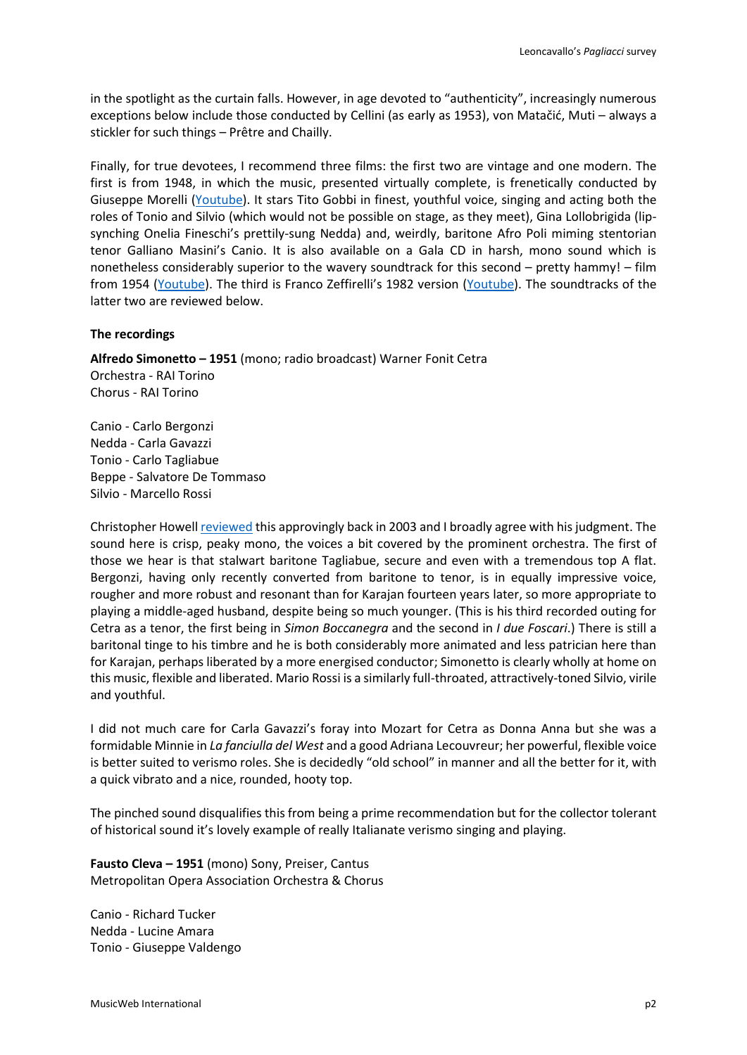in the spotlight as the curtain falls. However, in age devoted to "authenticity", increasingly numerous exceptions below include those conducted by Cellini (as early as 1953), von Matačić, Muti – always a stickler for such things – Prêtre and Chailly.

Finally, for true devotees, I recommend three films: the first two are vintage and one modern. The first is from 1948, in which the music, presented virtually complete, is frenetically conducted by Giuseppe Morelli [\(Youtube\)](https://www.youtube.com/watch?v=sljvamShlD8). It stars Tito Gobbi in finest, youthful voice, singing and acting both the roles of Tonio and Silvio (which would not be possible on stage, as they meet), Gina Lollobrigida (lipsynching Onelia Fineschi's prettily-sung Nedda) and, weirdly, baritone Afro Poli miming stentorian tenor Galliano Masini's Canio. It is also available on a Gala CD in harsh, mono sound which is nonetheless considerably superior to the wavery soundtrack for this second – pretty hammy! – film from 1954 [\(Youtube\)](https://www.youtube.com/watch?v=Ke_Bh0VY9RY&feature=emb_logo). The third is Franco Zeffirelli's 1982 version [\(Youtube\)](https://www.youtube.com/watch?v=dSURBaT3XF4). The soundtracks of the latter two are reviewed below.

### **The recordings**

**Alfredo Simonetto – 1951** (mono; radio broadcast) Warner Fonit Cetra Orchestra - RAI Torino Chorus - RAI Torino

Canio - Carlo Bergonzi Nedda - Carla Gavazzi Tonio - Carlo Tagliabue Beppe - Salvatore De Tommaso Silvio - Marcello Rossi

Christopher Howell [reviewed](http://www.musicweb-international.com/classrev/2003/Mar03/PagliacciGavazziBergonziCetra.htm) this approvingly back in 2003 and I broadly agree with his judgment. The sound here is crisp, peaky mono, the voices a bit covered by the prominent orchestra. The first of those we hear is that stalwart baritone Tagliabue, secure and even with a tremendous top A flat. Bergonzi, having only recently converted from baritone to tenor, is in equally impressive voice, rougher and more robust and resonant than for Karajan fourteen years later, so more appropriate to playing a middle-aged husband, despite being so much younger. (This is his third recorded outing for Cetra as a tenor, the first being in *Simon Boccanegra* and the second in *I due Foscari*.) There is still a baritonal tinge to his timbre and he is both considerably more animated and less patrician here than for Karajan, perhaps liberated by a more energised conductor; Simonetto is clearly wholly at home on this music, flexible and liberated. Mario Rossi is a similarly full-throated, attractively-toned Silvio, virile and youthful.

I did not much care for Carla Gavazzi's foray into Mozart for Cetra as Donna Anna but she was a formidable Minnie in *La fanciulla del West* and a good Adriana Lecouvreur; her powerful, flexible voice is better suited to verismo roles. She is decidedly "old school" in manner and all the better for it, with a quick vibrato and a nice, rounded, hooty top.

The pinched sound disqualifies this from being a prime recommendation but for the collector tolerant of historical sound it's lovely example of really Italianate verismo singing and playing.

**Fausto Cleva – 1951** (mono) Sony, Preiser, Cantus Metropolitan Opera Association Orchestra & Chorus

Canio - Richard Tucker Nedda - Lucine Amara Tonio - Giuseppe Valdengo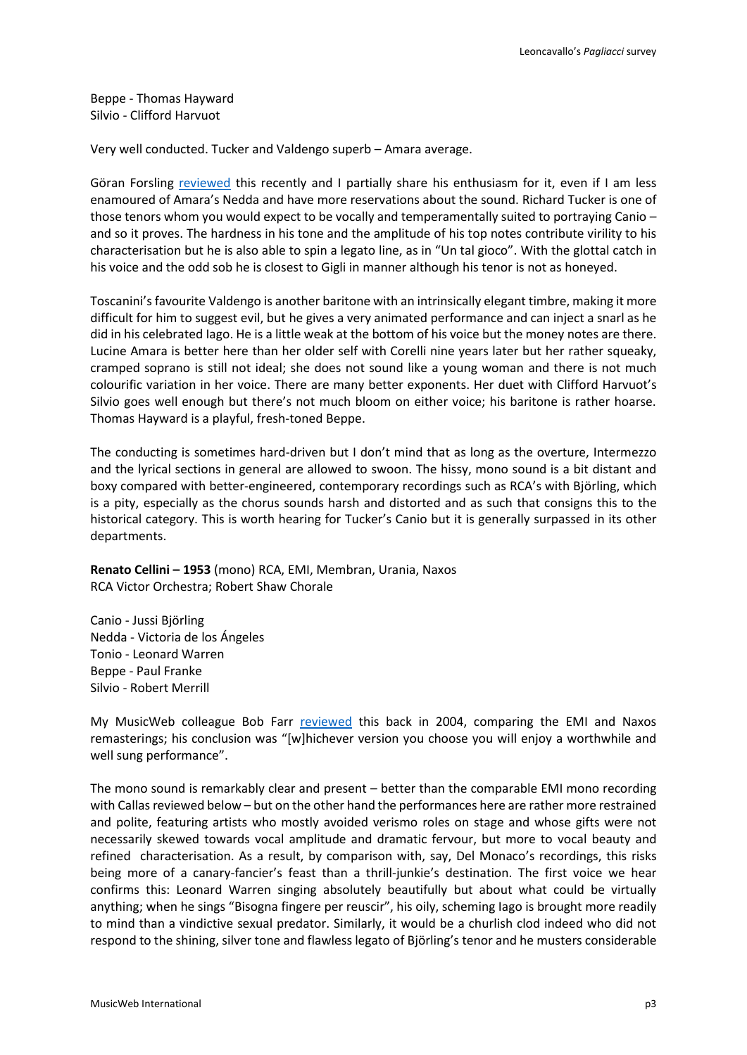Beppe - Thomas Hayward Silvio - Clifford Harvuot

Very well conducted. Tucker and Valdengo superb – Amara average.

Göran Forsling [reviewed](http://musicweb-international.com/classrev/2018/May/Mascagni_Cavalleria_19075820002.htm) this recently and I partially share his enthusiasm for it, even if I am less enamoured of Amara's Nedda and have more reservations about the sound. Richard Tucker is one of those tenors whom you would expect to be vocally and temperamentally suited to portraying Canio – and so it proves. The hardness in his tone and the amplitude of his top notes contribute virility to his characterisation but he is also able to spin a legato line, as in "Un tal gioco". With the glottal catch in his voice and the odd sob he is closest to Gigli in manner although his tenor is not as honeyed.

Toscanini's favourite Valdengo is another baritone with an intrinsically elegant timbre, making it more difficult for him to suggest evil, but he gives a very animated performance and can inject a snarl as he did in his celebrated Iago. He is a little weak at the bottom of his voice but the money notes are there. Lucine Amara is better here than her older self with Corelli nine years later but her rather squeaky, cramped soprano is still not ideal; she does not sound like a young woman and there is not much colourific variation in her voice. There are many better exponents. Her duet with Clifford Harvuot's Silvio goes well enough but there's not much bloom on either voice; his baritone is rather hoarse. Thomas Hayward is a playful, fresh-toned Beppe.

The conducting is sometimes hard-driven but I don't mind that as long as the overture, Intermezzo and the lyrical sections in general are allowed to swoon. The hissy, mono sound is a bit distant and boxy compared with better-engineered, contemporary recordings such as RCA's with Björling, which is a pity, especially as the chorus sounds harsh and distorted and as such that consigns this to the historical category. This is worth hearing for Tucker's Canio but it is generally surpassed in its other departments.

**Renato Cellini – 1953** (mono) RCA, EMI, Membran, Urania, Naxos RCA Victor Orchestra; Robert Shaw Chorale

Canio - Jussi Björling Nedda - Victoria de los Ángeles Tonio - Leonard Warren Beppe - Paul Franke Silvio - Robert Merrill

My MusicWeb colleague Bob Farr [reviewed](http://www.musicweb-international.com/classrev/2004/Mar04/Pagliacci_Naxos_Emi.htm) this back in 2004, comparing the EMI and Naxos remasterings; his conclusion was "[w]hichever version you choose you will enjoy a worthwhile and well sung performance".

The mono sound is remarkably clear and present – better than the comparable EMI mono recording with Callas reviewed below – but on the other hand the performances here are rather more restrained and polite, featuring artists who mostly avoided verismo roles on stage and whose gifts were not necessarily skewed towards vocal amplitude and dramatic fervour, but more to vocal beauty and refined characterisation. As a result, by comparison with, say, Del Monaco's recordings, this risks being more of a canary-fancier's feast than a thrill-junkie's destination. The first voice we hear confirms this: Leonard Warren singing absolutely beautifully but about what could be virtually anything; when he sings "Bisogna fingere per reuscir", his oily, scheming Iago is brought more readily to mind than a vindictive sexual predator. Similarly, it would be a churlish clod indeed who did not respond to the shining, silver tone and flawless legato of Björling's tenor and he musters considerable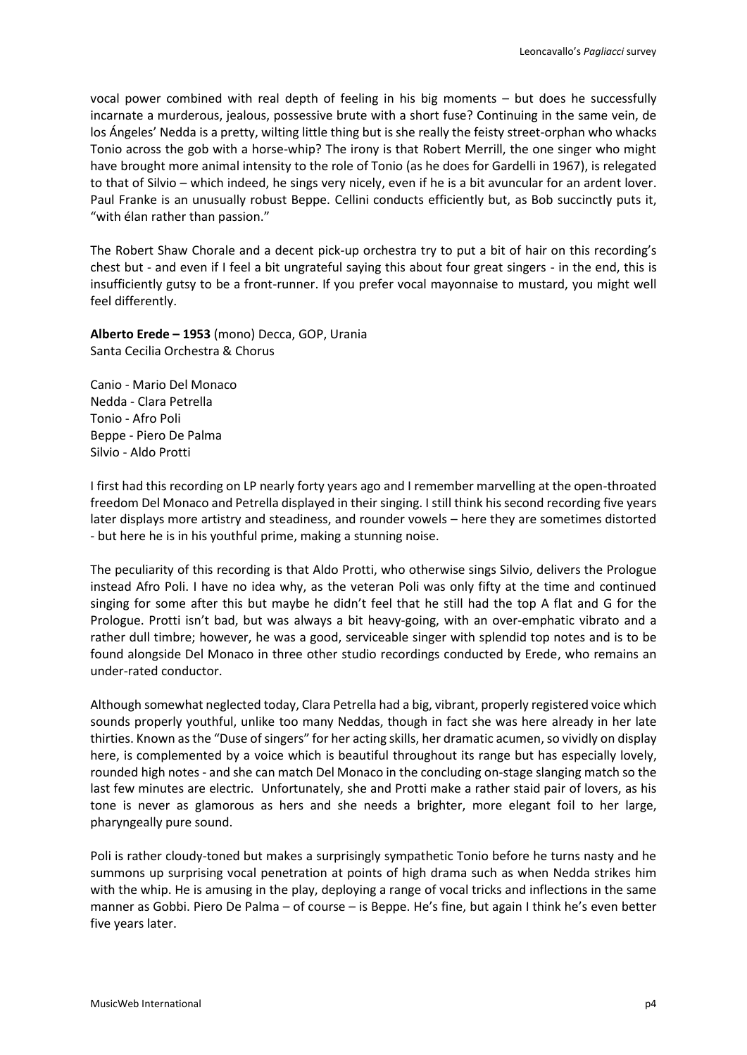vocal power combined with real depth of feeling in his big moments – but does he successfully incarnate a murderous, jealous, possessive brute with a short fuse? Continuing in the same vein, de los Ángeles' Nedda is a pretty, wilting little thing but is she really the feisty street-orphan who whacks Tonio across the gob with a horse-whip? The irony is that Robert Merrill, the one singer who might have brought more animal intensity to the role of Tonio (as he does for Gardelli in 1967), is relegated to that of Silvio – which indeed, he sings very nicely, even if he is a bit avuncular for an ardent lover. Paul Franke is an unusually robust Beppe. Cellini conducts efficiently but, as Bob succinctly puts it, "with élan rather than passion."

The Robert Shaw Chorale and a decent pick-up orchestra try to put a bit of hair on this recording's chest but - and even if I feel a bit ungrateful saying this about four great singers - in the end, this is insufficiently gutsy to be a front-runner. If you prefer vocal mayonnaise to mustard, you might well feel differently.

**Alberto Erede – 1953** (mono) Decca, GOP, Urania Santa Cecilia Orchestra & Chorus

Canio - Mario Del Monaco Nedda - Clara Petrella Tonio - Afro Poli Beppe - Piero De Palma Silvio - Aldo Protti

I first had this recording on LP nearly forty years ago and I remember marvelling at the open-throated freedom Del Monaco and Petrella displayed in their singing. I still think his second recording five years later displays more artistry and steadiness, and rounder vowels – here they are sometimes distorted - but here he is in his youthful prime, making a stunning noise.

The peculiarity of this recording is that Aldo Protti, who otherwise sings Silvio, delivers the Prologue instead Afro Poli. I have no idea why, as the veteran Poli was only fifty at the time and continued singing for some after this but maybe he didn't feel that he still had the top A flat and G for the Prologue. Protti isn't bad, but was always a bit heavy-going, with an over-emphatic vibrato and a rather dull timbre; however, he was a good, serviceable singer with splendid top notes and is to be found alongside Del Monaco in three other studio recordings conducted by Erede, who remains an under-rated conductor.

Although somewhat neglected today, Clara Petrella had a big, vibrant, properly registered voice which sounds properly youthful, unlike too many Neddas, though in fact she was here already in her late thirties. Known as the "Duse of singers" for her acting skills, her dramatic acumen, so vividly on display here, is complemented by a voice which is beautiful throughout its range but has especially lovely, rounded high notes - and she can match Del Monaco in the concluding on-stage slanging match so the last few minutes are electric. Unfortunately, she and Protti make a rather staid pair of lovers, as his tone is never as glamorous as hers and she needs a brighter, more elegant foil to her large, pharyngeally pure sound.

Poli is rather cloudy-toned but makes a surprisingly sympathetic Tonio before he turns nasty and he summons up surprising vocal penetration at points of high drama such as when Nedda strikes him with the whip. He is amusing in the play, deploying a range of vocal tricks and inflections in the same manner as Gobbi. Piero De Palma – of course – is Beppe. He's fine, but again I think he's even better five years later.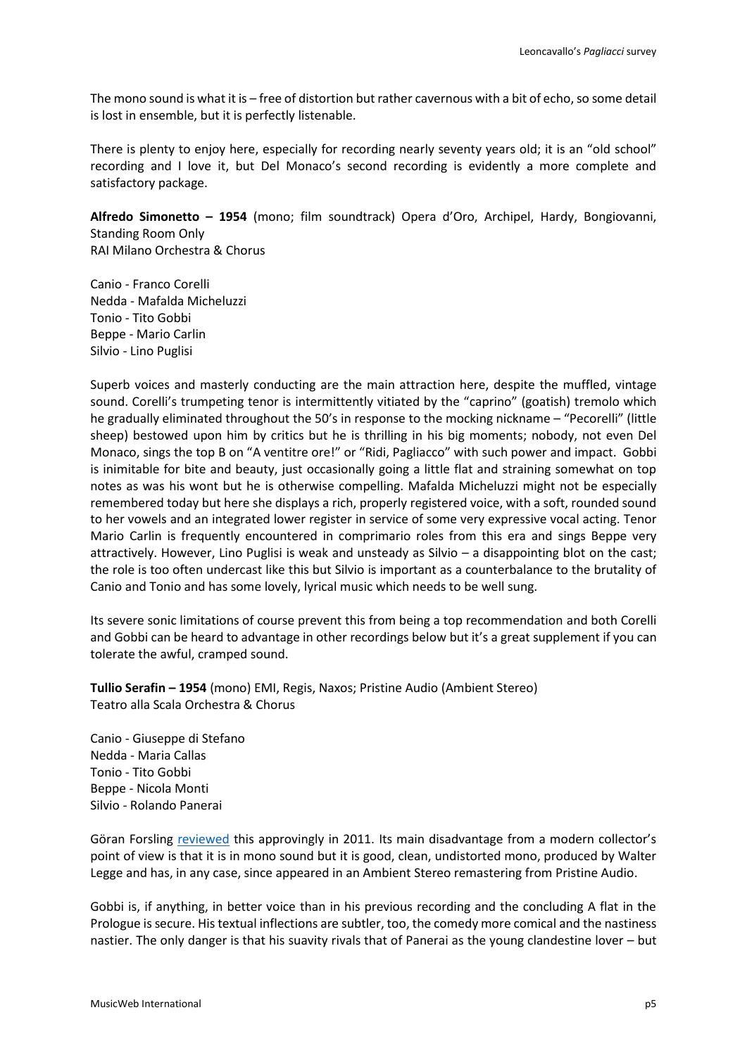The mono sound is what it is – free of distortion but rather cavernous with a bit of echo, so some detail is lost in ensemble, but it is perfectly listenable.

There is plenty to enjoy here, especially for recording nearly seventy years old; it is an "old school" recording and I love it, but Del Monaco's second recording is evidently a more complete and satisfactory package.

**Alfredo Simonetto – 1954** (mono; film soundtrack) Opera d'Oro, Archipel, Hardy, Bongiovanni, Standing Room Only RAI Milano Orchestra & Chorus

Canio - Franco Corelli Nedda - Mafalda Micheluzzi Tonio - Tito Gobbi Beppe - Mario Carlin Silvio - Lino Puglisi

Superb voices and masterly conducting are the main attraction here, despite the muffled, vintage sound. Corelli's trumpeting tenor is intermittently vitiated by the "caprino" (goatish) tremolo which he gradually eliminated throughout the 50's in response to the mocking nickname – "Pecorelli" (little sheep) bestowed upon him by critics but he is thrilling in his big moments; nobody, not even Del Monaco, sings the top B on "A ventitre ore!" or "Ridi, Pagliacco" with such power and impact. Gobbi is inimitable for bite and beauty, just occasionally going a little flat and straining somewhat on top notes as was his wont but he is otherwise compelling. Mafalda Micheluzzi might not be especially remembered today but here she displays a rich, properly registered voice, with a soft, rounded sound to her vowels and an integrated lower register in service of some very expressive vocal acting. Tenor Mario Carlin is frequently encountered in comprimario roles from this era and sings Beppe very attractively. However, Lino Puglisi is weak and unsteady as Silvio – a disappointing blot on the cast; the role is too often undercast like this but Silvio is important as a counterbalance to the brutality of Canio and Tonio and has some lovely, lyrical music which needs to be well sung.

Its severe sonic limitations of course prevent this from being a top recommendation and both Corelli and Gobbi can be heard to advantage in other recordings below but it's a great supplement if you can tolerate the awful, cramped sound.

**Tullio Serafin – 1954** (mono) EMI, Regis, Naxos; Pristine Audio (Ambient Stereo) Teatro alla Scala Orchestra & Chorus

Canio - Giuseppe di Stefano Nedda - Maria Callas Tonio - Tito Gobbi Beppe - Nicola Monti Silvio - Rolando Panerai

Göran Forsling [reviewed](http://www.musicweb-international.com/classrev/2011/Apr11/Mascagni_Cavalleria_6407222.htm) this approvingly in 2011. Its main disadvantage from a modern collector's point of view is that it is in mono sound but it is good, clean, undistorted mono, produced by Walter Legge and has, in any case, since appeared in an Ambient Stereo remastering from Pristine Audio.

Gobbi is, if anything, in better voice than in his previous recording and the concluding A flat in the Prologue is secure. His textual inflections are subtler, too, the comedy more comical and the nastiness nastier. The only danger is that his suavity rivals that of Panerai as the young clandestine lover – but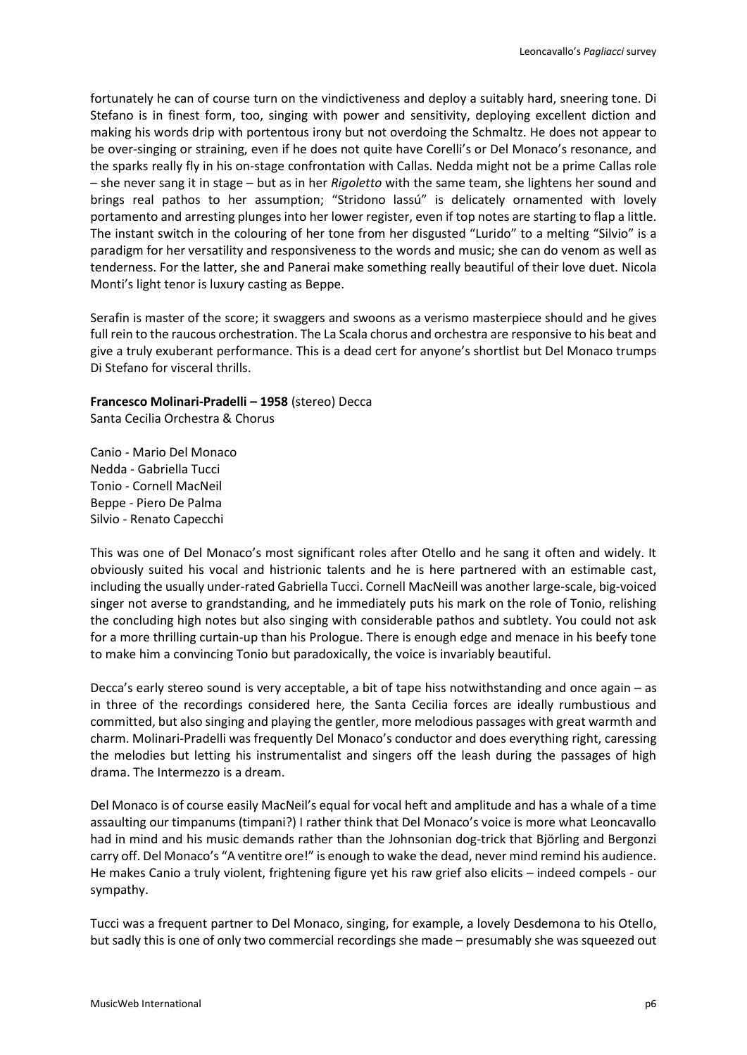fortunately he can of course turn on the vindictiveness and deploy a suitably hard, sneering tone. Di Stefano is in finest form, too, singing with power and sensitivity, deploying excellent diction and making his words drip with portentous irony but not overdoing the Schmaltz. He does not appear to be over-singing or straining, even if he does not quite have Corelli's or Del Monaco's resonance, and the sparks really fly in his on-stage confrontation with Callas. Nedda might not be a prime Callas role – she never sang it in stage – but as in her *Rigoletto* with the same team, she lightens her sound and brings real pathos to her assumption; "Stridono lassú" is delicately ornamented with lovely portamento and arresting plunges into her lower register, even if top notes are starting to flap a little. The instant switch in the colouring of her tone from her disgusted "Lurido" to a melting "Silvio" is a paradigm for her versatility and responsiveness to the words and music; she can do venom as well as tenderness. For the latter, she and Panerai make something really beautiful of their love duet. Nicola Monti's light tenor is luxury casting as Beppe.

Serafin is master of the score; it swaggers and swoons as a verismo masterpiece should and he gives full rein to the raucous orchestration. The La Scala chorus and orchestra are responsive to his beat and give a truly exuberant performance. This is a dead cert for anyone's shortlist but Del Monaco trumps Di Stefano for visceral thrills.

**Francesco Molinari-Pradelli – 1958** (stereo) Decca Santa Cecilia Orchestra & Chorus

Canio - Mario Del Monaco Nedda - Gabriella Tucci Tonio - Cornell MacNeil Beppe - Piero De Palma Silvio - Renato Capecchi

This was one of Del Monaco's most significant roles after Otello and he sang it often and widely. It obviously suited his vocal and histrionic talents and he is here partnered with an estimable cast, including the usually under-rated Gabriella Tucci. Cornell MacNeill was another large-scale, big-voiced singer not averse to grandstanding, and he immediately puts his mark on the role of Tonio, relishing the concluding high notes but also singing with considerable pathos and subtlety. You could not ask for a more thrilling curtain-up than his Prologue. There is enough edge and menace in his beefy tone to make him a convincing Tonio but paradoxically, the voice is invariably beautiful.

Decca's early stereo sound is very acceptable, a bit of tape hiss notwithstanding and once again – as in three of the recordings considered here, the Santa Cecilia forces are ideally rumbustious and committed, but also singing and playing the gentler, more melodious passages with great warmth and charm. Molinari-Pradelli was frequently Del Monaco's conductor and does everything right, caressing the melodies but letting his instrumentalist and singers off the leash during the passages of high drama. The Intermezzo is a dream.

Del Monaco is of course easily MacNeil's equal for vocal heft and amplitude and has a whale of a time assaulting our timpanums (timpani?) I rather think that Del Monaco's voice is more what Leoncavallo had in mind and his music demands rather than the Johnsonian dog-trick that Björling and Bergonzi carry off. Del Monaco's "A ventitre ore!" is enough to wake the dead, never mind remind his audience. He makes Canio a truly violent, frightening figure yet his raw grief also elicits – indeed compels - our sympathy.

Tucci was a frequent partner to Del Monaco, singing, for example, a lovely Desdemona to his Otello, but sadly this is one of only two commercial recordings she made – presumably she was squeezed out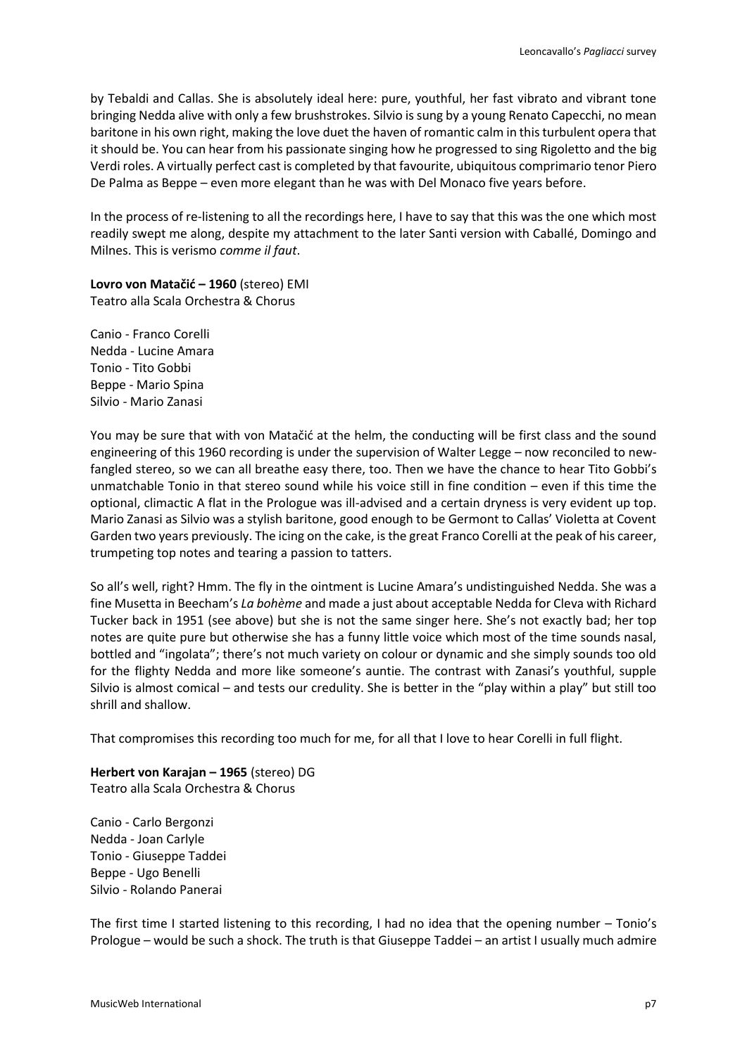by Tebaldi and Callas. She is absolutely ideal here: pure, youthful, her fast vibrato and vibrant tone bringing Nedda alive with only a few brushstrokes. Silvio is sung by a young Renato Capecchi, no mean baritone in his own right, making the love duet the haven of romantic calm in this turbulent opera that it should be. You can hear from his passionate singing how he progressed to sing Rigoletto and the big Verdi roles. A virtually perfect cast is completed by that favourite, ubiquitous comprimario tenor Piero De Palma as Beppe – even more elegant than he was with Del Monaco five years before.

In the process of re-listening to all the recordings here, I have to say that this was the one which most readily swept me along, despite my attachment to the later Santi version with Caballé, Domingo and Milnes. This is verismo *comme il faut*.

**Lovro von Matačić – 1960** (stereo) EMI Teatro alla Scala Orchestra & Chorus

Canio - Franco Corelli Nedda - Lucine Amara Tonio - Tito Gobbi Beppe - Mario Spina Silvio - Mario Zanasi

You may be sure that with von Matačić at the helm, the conducting will be first class and the sound engineering of this 1960 recording is under the supervision of Walter Legge – now reconciled to newfangled stereo, so we can all breathe easy there, too. Then we have the chance to hear Tito Gobbi's unmatchable Tonio in that stereo sound while his voice still in fine condition – even if this time the optional, climactic A flat in the Prologue was ill-advised and a certain dryness is very evident up top. Mario Zanasi as Silvio was a stylish baritone, good enough to be Germont to Callas' Violetta at Covent Garden two years previously. The icing on the cake, is the great Franco Corelli at the peak of his career, trumpeting top notes and tearing a passion to tatters.

So all's well, right? Hmm. The fly in the ointment is Lucine Amara's undistinguished Nedda. She was a fine Musetta in Beecham's *La bohème* and made a just about acceptable Nedda for Cleva with Richard Tucker back in 1951 (see above) but she is not the same singer here. She's not exactly bad; her top notes are quite pure but otherwise she has a funny little voice which most of the time sounds nasal, bottled and "ingolata"; there's not much variety on colour or dynamic and she simply sounds too old for the flighty Nedda and more like someone's auntie. The contrast with Zanasi's youthful, supple Silvio is almost comical – and tests our credulity. She is better in the "play within a play" but still too shrill and shallow.

That compromises this recording too much for me, for all that I love to hear Corelli in full flight.

**Herbert von Karajan – 1965** (stereo) DG Teatro alla Scala Orchestra & Chorus

Canio - Carlo Bergonzi Nedda - Joan Carlyle Tonio - Giuseppe Taddei Beppe - Ugo Benelli Silvio - Rolando Panerai

The first time I started listening to this recording, I had no idea that the opening number – Tonio's Prologue – would be such a shock. The truth is that Giuseppe Taddei – an artist I usually much admire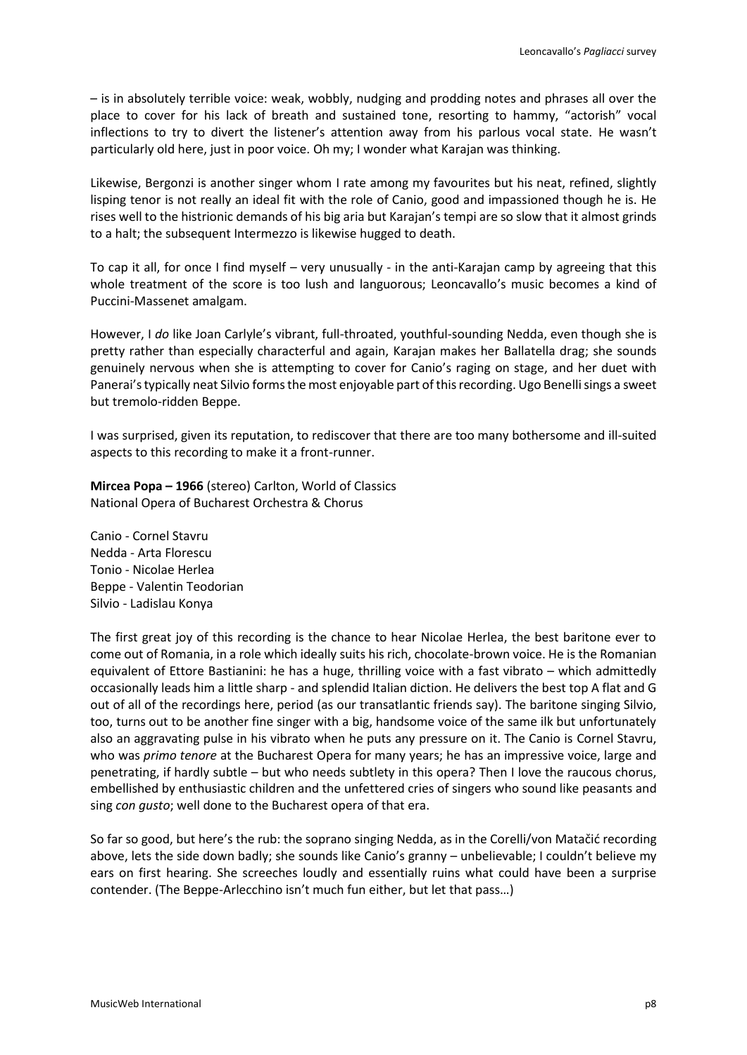– is in absolutely terrible voice: weak, wobbly, nudging and prodding notes and phrases all over the place to cover for his lack of breath and sustained tone, resorting to hammy, "actorish" vocal inflections to try to divert the listener's attention away from his parlous vocal state. He wasn't particularly old here, just in poor voice. Oh my; I wonder what Karajan was thinking.

Likewise, Bergonzi is another singer whom I rate among my favourites but his neat, refined, slightly lisping tenor is not really an ideal fit with the role of Canio, good and impassioned though he is. He rises well to the histrionic demands of his big aria but Karajan's tempi are so slow that it almost grinds to a halt; the subsequent Intermezzo is likewise hugged to death.

To cap it all, for once I find myself – very unusually - in the anti-Karajan camp by agreeing that this whole treatment of the score is too lush and languorous; Leoncavallo's music becomes a kind of Puccini-Massenet amalgam.

However, I *do* like Joan Carlyle's vibrant, full-throated, youthful-sounding Nedda, even though she is pretty rather than especially characterful and again, Karajan makes her Ballatella drag; she sounds genuinely nervous when she is attempting to cover for Canio's raging on stage, and her duet with Panerai's typically neat Silvio forms the most enjoyable part of this recording. Ugo Benelli sings a sweet but tremolo-ridden Beppe.

I was surprised, given its reputation, to rediscover that there are too many bothersome and ill-suited aspects to this recording to make it a front-runner.

**Mircea Popa – 1966** (stereo) Carlton, World of Classics National Opera of Bucharest Orchestra & Chorus

Canio - Cornel Stavru Nedda - Arta Florescu Tonio - Nicolae Herlea Beppe - Valentin Teodorian Silvio - Ladislau Konya

The first great joy of this recording is the chance to hear Nicolae Herlea, the best baritone ever to come out of Romania, in a role which ideally suits his rich, chocolate-brown voice. He is the Romanian equivalent of Ettore Bastianini: he has a huge, thrilling voice with a fast vibrato – which admittedly occasionally leads him a little sharp - and splendid Italian diction. He delivers the best top A flat and G out of all of the recordings here, period (as our transatlantic friends say). The baritone singing Silvio, too, turns out to be another fine singer with a big, handsome voice of the same ilk but unfortunately also an aggravating pulse in his vibrato when he puts any pressure on it. The Canio is Cornel Stavru, who was *primo tenore* at the Bucharest Opera for many years; he has an impressive voice, large and penetrating, if hardly subtle – but who needs subtlety in this opera? Then I love the raucous chorus, embellished by enthusiastic children and the unfettered cries of singers who sound like peasants and sing *con gusto*; well done to the Bucharest opera of that era.

So far so good, but here's the rub: the soprano singing Nedda, as in the Corelli/von Matačić recording above, lets the side down badly; she sounds like Canio's granny – unbelievable; I couldn't believe my ears on first hearing. She screeches loudly and essentially ruins what could have been a surprise contender. (The Beppe-Arlecchino isn't much fun either, but let that pass…)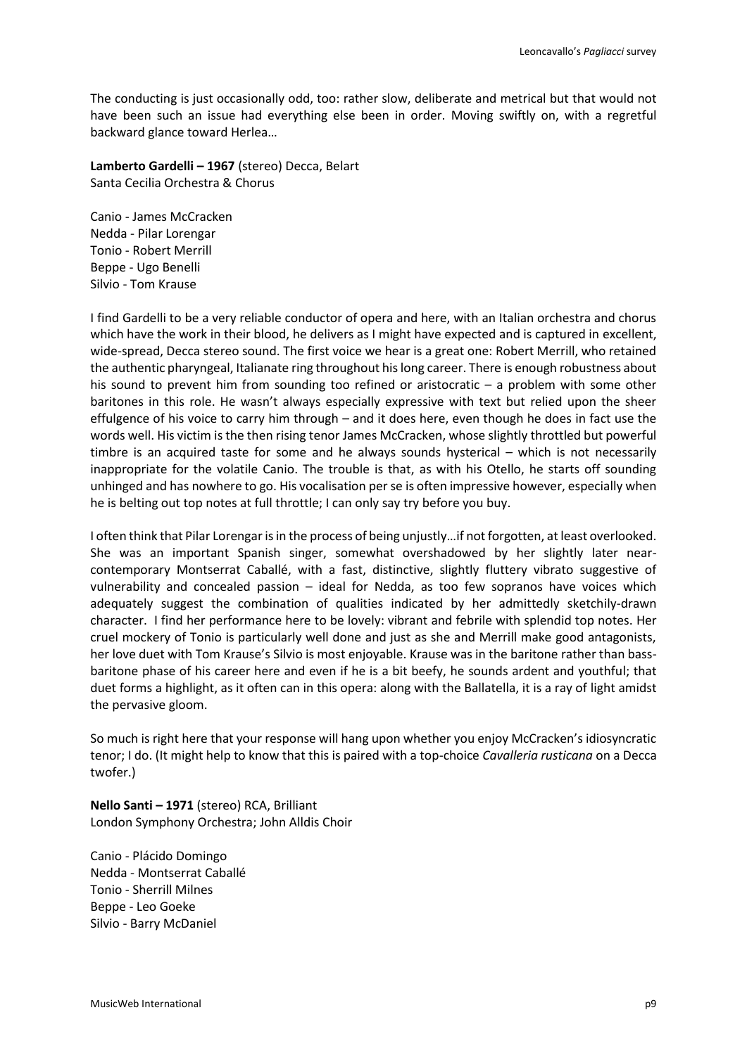The conducting is just occasionally odd, too: rather slow, deliberate and metrical but that would not have been such an issue had everything else been in order. Moving swiftly on, with a regretful backward glance toward Herlea…

**Lamberto Gardelli – 1967** (stereo) Decca, Belart Santa Cecilia Orchestra & Chorus

Canio - James McCracken Nedda - Pilar Lorengar Tonio - Robert Merrill Beppe - Ugo Benelli Silvio - Tom Krause

I find Gardelli to be a very reliable conductor of opera and here, with an Italian orchestra and chorus which have the work in their blood, he delivers as I might have expected and is captured in excellent, wide-spread, Decca stereo sound. The first voice we hear is a great one: Robert Merrill, who retained the authentic pharyngeal, Italianate ring throughout his long career. There is enough robustness about his sound to prevent him from sounding too refined or aristocratic – a problem with some other baritones in this role. He wasn't always especially expressive with text but relied upon the sheer effulgence of his voice to carry him through – and it does here, even though he does in fact use the words well. His victim is the then rising tenor James McCracken, whose slightly throttled but powerful timbre is an acquired taste for some and he always sounds hysterical – which is not necessarily inappropriate for the volatile Canio. The trouble is that, as with his Otello, he starts off sounding unhinged and has nowhere to go. His vocalisation per se is often impressive however, especially when he is belting out top notes at full throttle; I can only say try before you buy.

I often think that Pilar Lorengar is in the process of being unjustly…if not forgotten, at least overlooked. She was an important Spanish singer, somewhat overshadowed by her slightly later nearcontemporary Montserrat Caballé, with a fast, distinctive, slightly fluttery vibrato suggestive of vulnerability and concealed passion – ideal for Nedda, as too few sopranos have voices which adequately suggest the combination of qualities indicated by her admittedly sketchily-drawn character. I find her performance here to be lovely: vibrant and febrile with splendid top notes. Her cruel mockery of Tonio is particularly well done and just as she and Merrill make good antagonists, her love duet with Tom Krause's Silvio is most enjoyable. Krause was in the baritone rather than bassbaritone phase of his career here and even if he is a bit beefy, he sounds ardent and youthful; that duet forms a highlight, as it often can in this opera: along with the Ballatella, it is a ray of light amidst the pervasive gloom.

So much is right here that your response will hang upon whether you enjoy McCracken's idiosyncratic tenor; I do. (It might help to know that this is paired with a top-choice *Cavalleria rusticana* on a Decca twofer.)

**Nello Santi – 1971** (stereo) RCA, Brilliant London Symphony Orchestra; John Alldis Choir

Canio - Plácido Domingo Nedda - Montserrat Caballé Tonio - Sherrill Milnes Beppe - Leo Goeke Silvio - Barry McDaniel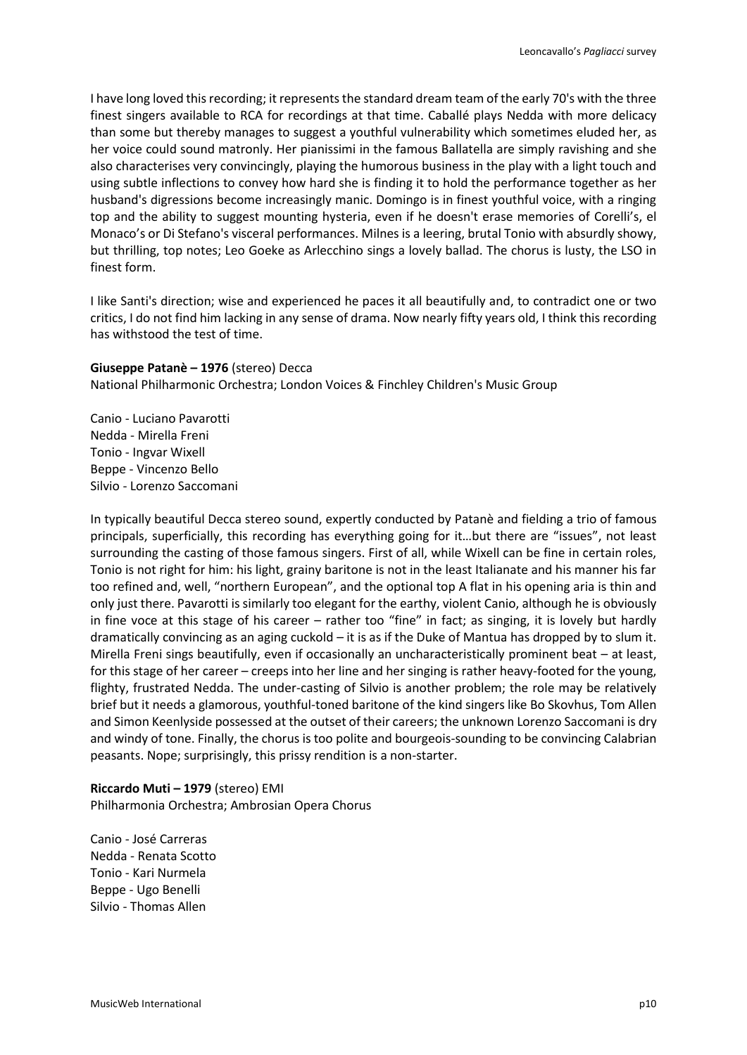I have long loved this recording; it represents the standard dream team of the early 70's with the three finest singers available to RCA for recordings at that time. Caballé plays Nedda with more delicacy than some but thereby manages to suggest a youthful vulnerability which sometimes eluded her, as her voice could sound matronly. Her pianissimi in the famous Ballatella are simply ravishing and she also characterises very convincingly, playing the humorous business in the play with a light touch and using subtle inflections to convey how hard she is finding it to hold the performance together as her husband's digressions become increasingly manic. Domingo is in finest youthful voice, with a ringing top and the ability to suggest mounting hysteria, even if he doesn't erase memories of Corelli's, el Monaco's or Di Stefano's visceral performances. Milnes is a leering, brutal Tonio with absurdly showy, but thrilling, top notes; Leo Goeke as Arlecchino sings a lovely ballad. The chorus is lusty, the LSO in finest form.

I like Santi's direction; wise and experienced he paces it all beautifully and, to contradict one or two critics, I do not find him lacking in any sense of drama. Now nearly fifty years old, I think this recording has withstood the test of time.

### **Giuseppe Patanè – 1976** (stereo) Decca

National Philharmonic Orchestra; London Voices & Finchley Children's Music Group

Canio - Luciano Pavarotti Nedda - Mirella Freni Tonio - Ingvar Wixell Beppe - Vincenzo Bello Silvio - Lorenzo Saccomani

In typically beautiful Decca stereo sound, expertly conducted by Patanè and fielding a trio of famous principals, superficially, this recording has everything going for it…but there are "issues", not least surrounding the casting of those famous singers. First of all, while Wixell can be fine in certain roles, Tonio is not right for him: his light, grainy baritone is not in the least Italianate and his manner his far too refined and, well, "northern European", and the optional top A flat in his opening aria is thin and only just there. Pavarotti is similarly too elegant for the earthy, violent Canio, although he is obviously in fine voce at this stage of his career – rather too "fine" in fact; as singing, it is lovely but hardly dramatically convincing as an aging cuckold – it is as if the Duke of Mantua has dropped by to slum it. Mirella Freni sings beautifully, even if occasionally an uncharacteristically prominent beat – at least, for this stage of her career – creeps into her line and her singing is rather heavy-footed for the young, flighty, frustrated Nedda. The under-casting of Silvio is another problem; the role may be relatively brief but it needs a glamorous, youthful-toned baritone of the kind singers like Bo Skovhus, Tom Allen and Simon Keenlyside possessed at the outset of their careers; the unknown Lorenzo Saccomani is dry and windy of tone. Finally, the chorus is too polite and bourgeois-sounding to be convincing Calabrian peasants. Nope; surprisingly, this prissy rendition is a non-starter.

# **Riccardo Muti – 1979** (stereo) EMI Philharmonia Orchestra; Ambrosian Opera Chorus

Canio - José Carreras Nedda - Renata Scotto Tonio - Kari Nurmela Beppe - Ugo Benelli Silvio - Thomas Allen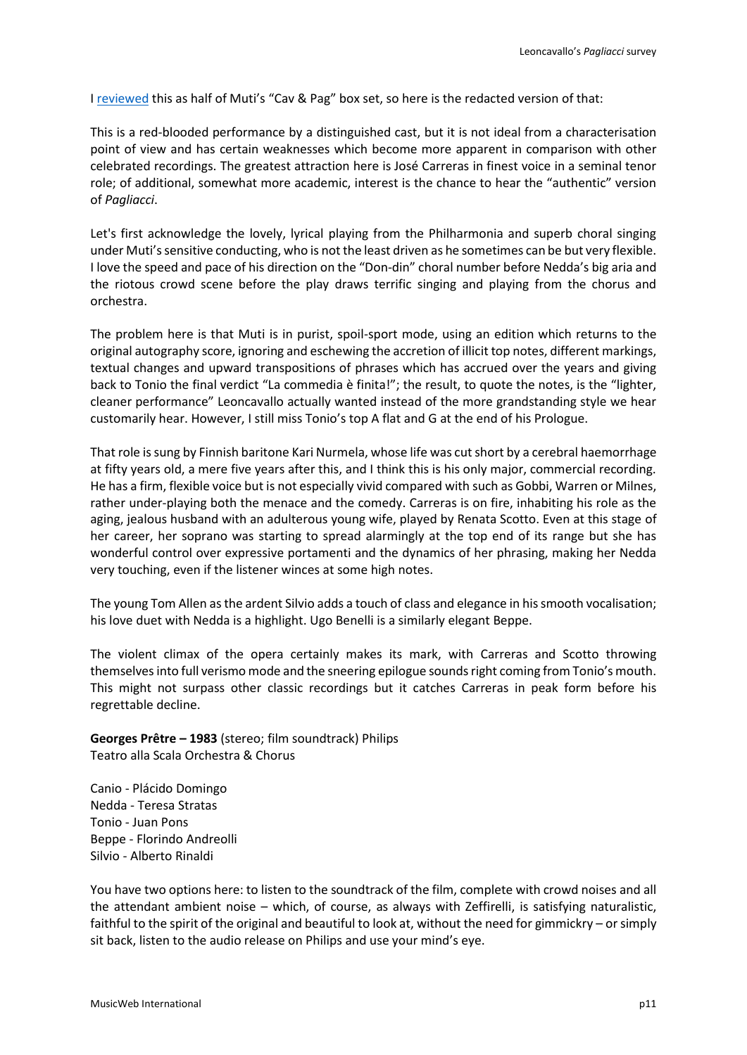I [reviewed](http://www.musicweb-international.com/classrev/2018/Jun/Mascagni_Cavalleria_76365052.htm) this as half of Muti's "Cav & Pag" box set, so here is the redacted version of that:

This is a red-blooded performance by a distinguished cast, but it is not ideal from a characterisation point of view and has certain weaknesses which become more apparent in comparison with other celebrated recordings. The greatest attraction here is José Carreras in finest voice in a seminal tenor role; of additional, somewhat more academic, interest is the chance to hear the "authentic" version of *Pagliacci*.

Let's first acknowledge the lovely, lyrical playing from the Philharmonia and superb choral singing under Muti's sensitive conducting, who is not the least driven as he sometimes can be but very flexible. I love the speed and pace of his direction on the "Don-din" choral number before Nedda's big aria and the riotous crowd scene before the play draws terrific singing and playing from the chorus and orchestra.

The problem here is that Muti is in purist, spoil-sport mode, using an edition which returns to the original autography score, ignoring and eschewing the accretion of illicit top notes, different markings, textual changes and upward transpositions of phrases which has accrued over the years and giving back to Tonio the final verdict "La commedia è finita!"; the result, to quote the notes, is the "lighter, cleaner performance" Leoncavallo actually wanted instead of the more grandstanding style we hear customarily hear. However, I still miss Tonio's top A flat and G at the end of his Prologue.

That role is sung by Finnish baritone Kari Nurmela, whose life was cut short by a cerebral haemorrhage at fifty years old, a mere five years after this, and I think this is his only major, commercial recording. He has a firm, flexible voice but is not especially vivid compared with such as Gobbi, Warren or Milnes, rather under-playing both the menace and the comedy. Carreras is on fire, inhabiting his role as the aging, jealous husband with an adulterous young wife, played by Renata Scotto. Even at this stage of her career, her soprano was starting to spread alarmingly at the top end of its range but she has wonderful control over expressive portamenti and the dynamics of her phrasing, making her Nedda very touching, even if the listener winces at some high notes.

The young Tom Allen as the ardent Silvio adds a touch of class and elegance in his smooth vocalisation; his love duet with Nedda is a highlight. Ugo Benelli is a similarly elegant Beppe.

The violent climax of the opera certainly makes its mark, with Carreras and Scotto throwing themselves into full verismo mode and the sneering epilogue sounds right coming from Tonio's mouth. This might not surpass other classic recordings but it catches Carreras in peak form before his regrettable decline.

**Georges Prêtre – 1983** (stereo; film soundtrack) Philips Teatro alla Scala Orchestra & Chorus

Canio - Plácido Domingo Nedda - Teresa Stratas Tonio - Juan Pons Beppe - Florindo Andreolli Silvio - Alberto Rinaldi

You have two options here: to listen to the soundtrack of the film, complete with crowd noises and all the attendant ambient noise – which, of course, as always with Zeffirelli, is satisfying naturalistic, faithful to the spirit of the original and beautiful to look at, without the need for gimmickry – or simply sit back, listen to the audio release on Philips and use your mind's eye.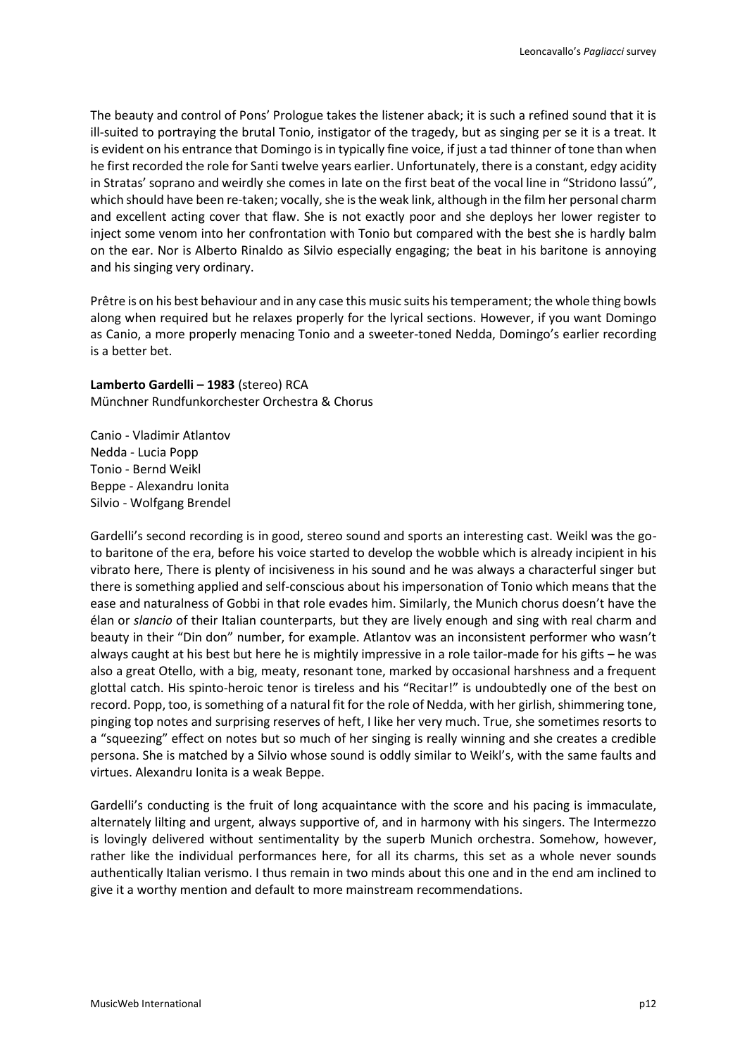The beauty and control of Pons' Prologue takes the listener aback; it is such a refined sound that it is ill-suited to portraying the brutal Tonio, instigator of the tragedy, but as singing per se it is a treat. It is evident on his entrance that Domingo is in typically fine voice, if just a tad thinner of tone than when he first recorded the role for Santi twelve years earlier. Unfortunately, there is a constant, edgy acidity in Stratas' soprano and weirdly she comes in late on the first beat of the vocal line in "Stridono lassú", which should have been re-taken; vocally, she is the weak link, although in the film her personal charm and excellent acting cover that flaw. She is not exactly poor and she deploys her lower register to inject some venom into her confrontation with Tonio but compared with the best she is hardly balm on the ear. Nor is Alberto Rinaldo as Silvio especially engaging; the beat in his baritone is annoying and his singing very ordinary.

Prêtre is on his best behaviour and in any case this music suits his temperament; the whole thing bowls along when required but he relaxes properly for the lyrical sections. However, if you want Domingo as Canio, a more properly menacing Tonio and a sweeter-toned Nedda, Domingo's earlier recording is a better bet.

**Lamberto Gardelli – 1983** (stereo) RCA Münchner Rundfunkorchester Orchestra & Chorus

Canio - Vladimir Atlantov Nedda - Lucia Popp Tonio - Bernd Weikl Beppe - Alexandru Ionita Silvio - Wolfgang Brendel

Gardelli's second recording is in good, stereo sound and sports an interesting cast. Weikl was the goto baritone of the era, before his voice started to develop the wobble which is already incipient in his vibrato here, There is plenty of incisiveness in his sound and he was always a characterful singer but there is something applied and self-conscious about his impersonation of Tonio which means that the ease and naturalness of Gobbi in that role evades him. Similarly, the Munich chorus doesn't have the élan or *slancio* of their Italian counterparts, but they are lively enough and sing with real charm and beauty in their "Din don" number, for example. Atlantov was an inconsistent performer who wasn't always caught at his best but here he is mightily impressive in a role tailor-made for his gifts – he was also a great Otello, with a big, meaty, resonant tone, marked by occasional harshness and a frequent glottal catch. His spinto-heroic tenor is tireless and his "Recitar!" is undoubtedly one of the best on record. Popp, too, is something of a natural fit for the role of Nedda, with her girlish, shimmering tone, pinging top notes and surprising reserves of heft, I like her very much. True, she sometimes resorts to a "squeezing" effect on notes but so much of her singing is really winning and she creates a credible persona. She is matched by a Silvio whose sound is oddly similar to Weikl's, with the same faults and virtues. Alexandru Ionita is a weak Beppe.

Gardelli's conducting is the fruit of long acquaintance with the score and his pacing is immaculate, alternately lilting and urgent, always supportive of, and in harmony with his singers. The Intermezzo is lovingly delivered without sentimentality by the superb Munich orchestra. Somehow, however, rather like the individual performances here, for all its charms, this set as a whole never sounds authentically Italian verismo. I thus remain in two minds about this one and in the end am inclined to give it a worthy mention and default to more mainstream recommendations.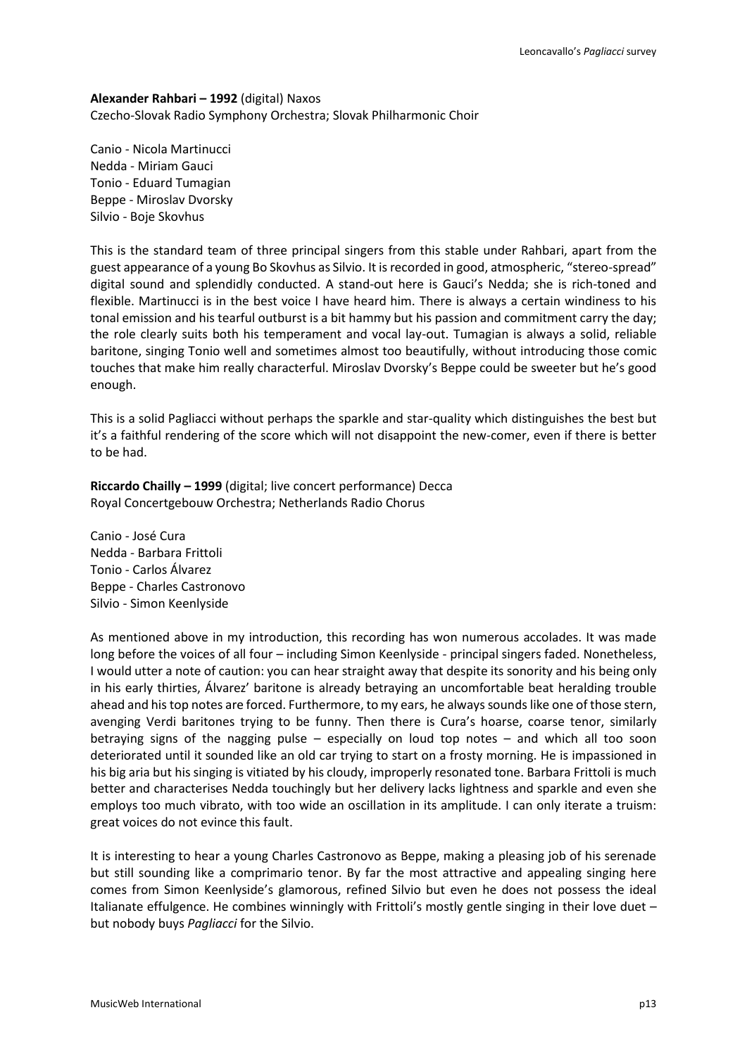**Alexander Rahbari – 1992** (digital) Naxos Czecho-Slovak Radio Symphony Orchestra; Slovak Philharmonic Choir

Canio - Nicola Martinucci Nedda - Miriam Gauci Tonio - Eduard Tumagian Beppe - Miroslav Dvorsky Silvio - Boje Skovhus

This is the standard team of three principal singers from this stable under Rahbari, apart from the guest appearance of a young Bo Skovhus as Silvio. It is recorded in good, atmospheric, "stereo-spread" digital sound and splendidly conducted. A stand-out here is Gauci's Nedda; she is rich-toned and flexible. Martinucci is in the best voice I have heard him. There is always a certain windiness to his tonal emission and his tearful outburst is a bit hammy but his passion and commitment carry the day; the role clearly suits both his temperament and vocal lay-out. Tumagian is always a solid, reliable baritone, singing Tonio well and sometimes almost too beautifully, without introducing those comic touches that make him really characterful. Miroslav Dvorsky's Beppe could be sweeter but he's good enough.

This is a solid Pagliacci without perhaps the sparkle and star-quality which distinguishes the best but it's a faithful rendering of the score which will not disappoint the new-comer, even if there is better to be had.

**Riccardo Chailly – 1999** (digital; live concert performance) Decca Royal Concertgebouw Orchestra; Netherlands Radio Chorus

Canio - José Cura Nedda - Barbara Frittoli Tonio - Carlos Álvarez Beppe - Charles Castronovo Silvio - Simon Keenlyside

As mentioned above in my introduction, this recording has won numerous accolades. It was made long before the voices of all four – including Simon Keenlyside - principal singers faded. Nonetheless, I would utter a note of caution: you can hear straight away that despite its sonority and his being only in his early thirties, Álvarez' baritone is already betraying an uncomfortable beat heralding trouble ahead and his top notes are forced. Furthermore, to my ears, he always sounds like one of those stern, avenging Verdi baritones trying to be funny. Then there is Cura's hoarse, coarse tenor, similarly betraying signs of the nagging pulse – especially on loud top notes – and which all too soon deteriorated until it sounded like an old car trying to start on a frosty morning. He is impassioned in his big aria but his singing is vitiated by his cloudy, improperly resonated tone. Barbara Frittoli is much better and characterises Nedda touchingly but her delivery lacks lightness and sparkle and even she employs too much vibrato, with too wide an oscillation in its amplitude. I can only iterate a truism: great voices do not evince this fault.

It is interesting to hear a young Charles Castronovo as Beppe, making a pleasing job of his serenade but still sounding like a comprimario tenor. By far the most attractive and appealing singing here comes from Simon Keenlyside's glamorous, refined Silvio but even he does not possess the ideal Italianate effulgence. He combines winningly with Frittoli's mostly gentle singing in their love duet – but nobody buys *Pagliacci* for the Silvio.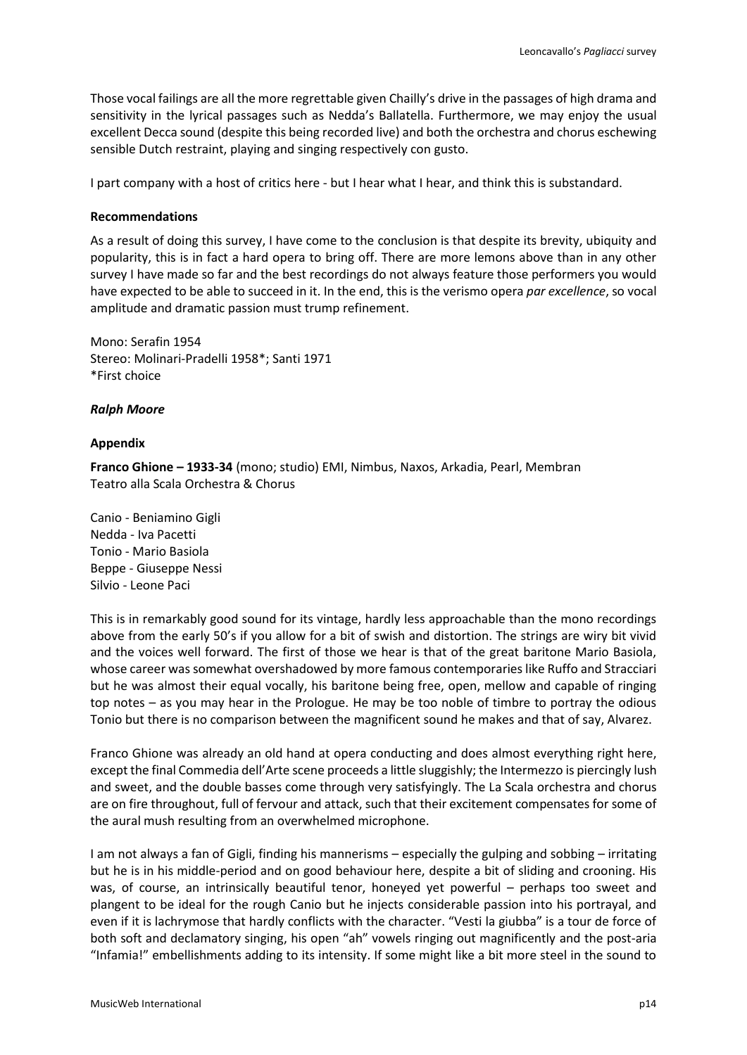Those vocal failings are all the more regrettable given Chailly's drive in the passages of high drama and sensitivity in the lyrical passages such as Nedda's Ballatella. Furthermore, we may enjoy the usual excellent Decca sound (despite this being recorded live) and both the orchestra and chorus eschewing sensible Dutch restraint, playing and singing respectively con gusto.

I part company with a host of critics here - but I hear what I hear, and think this is substandard.

### **Recommendations**

As a result of doing this survey, I have come to the conclusion is that despite its brevity, ubiquity and popularity, this is in fact a hard opera to bring off. There are more lemons above than in any other survey I have made so far and the best recordings do not always feature those performers you would have expected to be able to succeed in it. In the end, this is the verismo opera *par excellence*, so vocal amplitude and dramatic passion must trump refinement.

Mono: Serafin 1954 Stereo: Molinari-Pradelli 1958\*; Santi 1971 \*First choice

### *Ralph Moore*

### **Appendix**

**Franco Ghione – 1933-34** (mono; studio) EMI, Nimbus, Naxos, Arkadia, Pearl, Membran Teatro alla Scala Orchestra & Chorus

Canio - Beniamino Gigli Nedda - Iva Pacetti Tonio - Mario Basiola Beppe - Giuseppe Nessi Silvio - Leone Paci

This is in remarkably good sound for its vintage, hardly less approachable than the mono recordings above from the early 50's if you allow for a bit of swish and distortion. The strings are wiry bit vivid and the voices well forward. The first of those we hear is that of the great baritone Mario Basiola, whose career was somewhat overshadowed by more famous contemporaries like Ruffo and Stracciari but he was almost their equal vocally, his baritone being free, open, mellow and capable of ringing top notes – as you may hear in the Prologue. He may be too noble of timbre to portray the odious Tonio but there is no comparison between the magnificent sound he makes and that of say, Alvarez.

Franco Ghione was already an old hand at opera conducting and does almost everything right here, except the final Commedia dell'Arte scene proceeds a little sluggishly; the Intermezzo is piercingly lush and sweet, and the double basses come through very satisfyingly. The La Scala orchestra and chorus are on fire throughout, full of fervour and attack, such that their excitement compensates for some of the aural mush resulting from an overwhelmed microphone.

I am not always a fan of Gigli, finding his mannerisms – especially the gulping and sobbing – irritating but he is in his middle-period and on good behaviour here, despite a bit of sliding and crooning. His was, of course, an intrinsically beautiful tenor, honeyed yet powerful – perhaps too sweet and plangent to be ideal for the rough Canio but he injects considerable passion into his portrayal, and even if it is lachrymose that hardly conflicts with the character. "Vesti la giubba" is a tour de force of both soft and declamatory singing, his open "ah" vowels ringing out magnificently and the post-aria "Infamia!" embellishments adding to its intensity. If some might like a bit more steel in the sound to